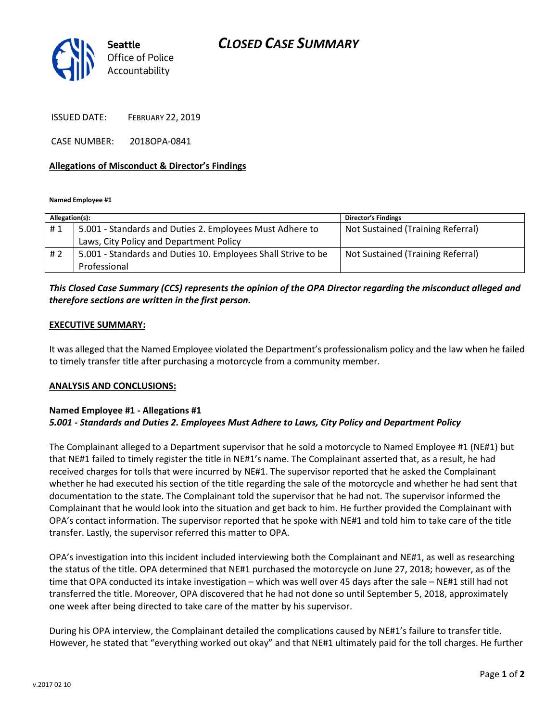# CLOSED CASE SUMMARY



ISSUED DATE: FEBRUARY 22, 2019

CASE NUMBER: 2018OPA-0841

#### Allegations of Misconduct & Director's Findings

Named Employee #1

| Allegation(s): |                                                               | <b>Director's Findings</b>        |
|----------------|---------------------------------------------------------------|-----------------------------------|
| #1             | 5.001 - Standards and Duties 2. Employees Must Adhere to      | Not Sustained (Training Referral) |
|                | Laws, City Policy and Department Policy                       |                                   |
| # 2            | 5.001 - Standards and Duties 10. Employees Shall Strive to be | Not Sustained (Training Referral) |
|                | Professional                                                  |                                   |
|                |                                                               |                                   |

### This Closed Case Summary (CCS) represents the opinion of the OPA Director regarding the misconduct alleged and therefore sections are written in the first person.

#### EXECUTIVE SUMMARY:

It was alleged that the Named Employee violated the Department's professionalism policy and the law when he failed to timely transfer title after purchasing a motorcycle from a community member.

#### ANALYSIS AND CONCLUSIONS:

#### Named Employee #1 - Allegations #1 5.001 - Standards and Duties 2. Employees Must Adhere to Laws, City Policy and Department Policy

The Complainant alleged to a Department supervisor that he sold a motorcycle to Named Employee #1 (NE#1) but that NE#1 failed to timely register the title in NE#1's name. The Complainant asserted that, as a result, he had received charges for tolls that were incurred by NE#1. The supervisor reported that he asked the Complainant whether he had executed his section of the title regarding the sale of the motorcycle and whether he had sent that documentation to the state. The Complainant told the supervisor that he had not. The supervisor informed the Complainant that he would look into the situation and get back to him. He further provided the Complainant with OPA's contact information. The supervisor reported that he spoke with NE#1 and told him to take care of the title transfer. Lastly, the supervisor referred this matter to OPA.

OPA's investigation into this incident included interviewing both the Complainant and NE#1, as well as researching the status of the title. OPA determined that NE#1 purchased the motorcycle on June 27, 2018; however, as of the time that OPA conducted its intake investigation – which was well over 45 days after the sale – NE#1 still had not transferred the title. Moreover, OPA discovered that he had not done so until September 5, 2018, approximately one week after being directed to take care of the matter by his supervisor.

During his OPA interview, the Complainant detailed the complications caused by NE#1's failure to transfer title. However, he stated that "everything worked out okay" and that NE#1 ultimately paid for the toll charges. He further